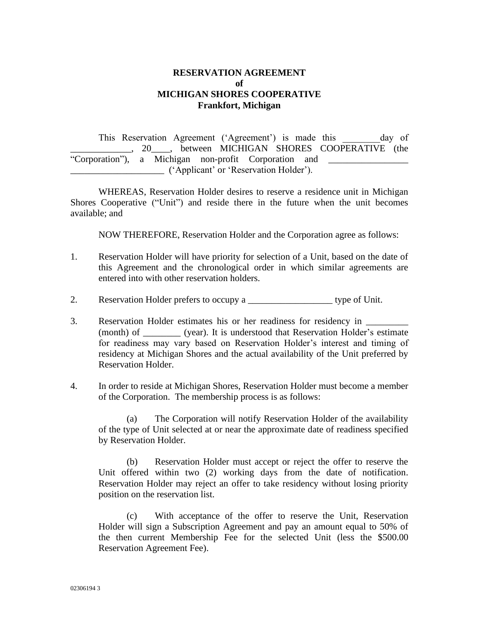## **RESERVATION AGREEMENT of MICHIGAN SHORES COOPERATIVE Frankfort, Michigan**

This Reservation Agreement ('Agreement') is made this day of . 20 . between MICHIGAN SHORES COOPERATIVE (the "Corporation"), a Michigan non-profit Corporation and \_\_\_\_\_\_\_\_\_\_\_\_\_\_\_\_\_ \_\_\_\_\_\_\_\_\_\_\_\_\_\_\_\_\_\_\_\_ ('Applicant' or 'Reservation Holder').

WHEREAS, Reservation Holder desires to reserve a residence unit in Michigan Shores Cooperative ("Unit") and reside there in the future when the unit becomes available; and

NOW THEREFORE, Reservation Holder and the Corporation agree as follows:

- 1. Reservation Holder will have priority for selection of a Unit, based on the date of this Agreement and the chronological order in which similar agreements are entered into with other reservation holders.
- 2. Reservation Holder prefers to occupy a \_\_\_\_\_\_\_\_\_\_\_\_\_\_\_\_\_\_\_\_\_\_\_\_ type of Unit.
- 3. Reservation Holder estimates his or her readiness for residency in \_\_\_\_\_\_\_\_\_\_ (month) of \_\_\_\_\_\_\_\_ (year). It is understood that Reservation Holder's estimate for readiness may vary based on Reservation Holder's interest and timing of residency at Michigan Shores and the actual availability of the Unit preferred by Reservation Holder.
- 4. In order to reside at Michigan Shores, Reservation Holder must become a member of the Corporation. The membership process is as follows:

(a) The Corporation will notify Reservation Holder of the availability of the type of Unit selected at or near the approximate date of readiness specified by Reservation Holder.

(b) Reservation Holder must accept or reject the offer to reserve the Unit offered within two (2) working days from the date of notification. Reservation Holder may reject an offer to take residency without losing priority position on the reservation list.

(c) With acceptance of the offer to reserve the Unit, Reservation Holder will sign a Subscription Agreement and pay an amount equal to 50% of the then current Membership Fee for the selected Unit (less the \$500.00 Reservation Agreement Fee).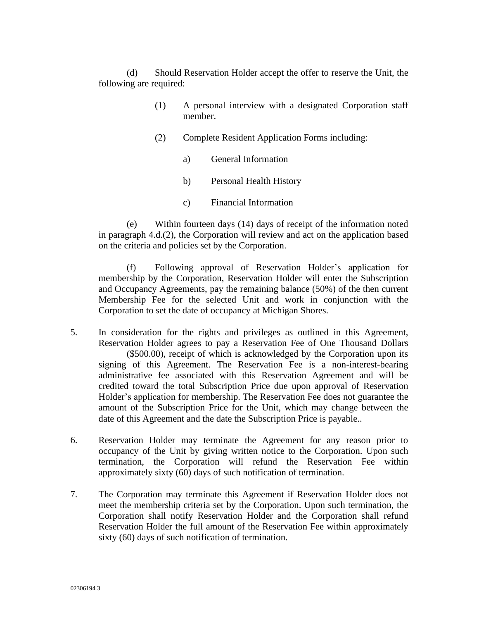(d) Should Reservation Holder accept the offer to reserve the Unit, the following are required:

- (1) A personal interview with a designated Corporation staff member.
- (2) Complete Resident Application Forms including:
	- a) General Information
	- b) Personal Health History
	- c) Financial Information

(e) Within fourteen days (14) days of receipt of the information noted in paragraph 4.d.(2), the Corporation will review and act on the application based on the criteria and policies set by the Corporation.

(f) Following approval of Reservation Holder's application for membership by the Corporation, Reservation Holder will enter the Subscription and Occupancy Agreements, pay the remaining balance (50%) of the then current Membership Fee for the selected Unit and work in conjunction with the Corporation to set the date of occupancy at Michigan Shores.

- 5. In consideration for the rights and privileges as outlined in this Agreement, Reservation Holder agrees to pay a Reservation Fee of One Thousand Dollars (\$500.00), receipt of which is acknowledged by the Corporation upon its signing of this Agreement. The Reservation Fee is a non-interest-bearing administrative fee associated with this Reservation Agreement and will be credited toward the total Subscription Price due upon approval of Reservation Holder's application for membership. The Reservation Fee does not guarantee the amount of the Subscription Price for the Unit, which may change between the date of this Agreement and the date the Subscription Price is payable..
- 6. Reservation Holder may terminate the Agreement for any reason prior to occupancy of the Unit by giving written notice to the Corporation. Upon such termination, the Corporation will refund the Reservation Fee within approximately sixty (60) days of such notification of termination.
- 7. The Corporation may terminate this Agreement if Reservation Holder does not meet the membership criteria set by the Corporation. Upon such termination, the Corporation shall notify Reservation Holder and the Corporation shall refund Reservation Holder the full amount of the Reservation Fee within approximately sixty (60) days of such notification of termination.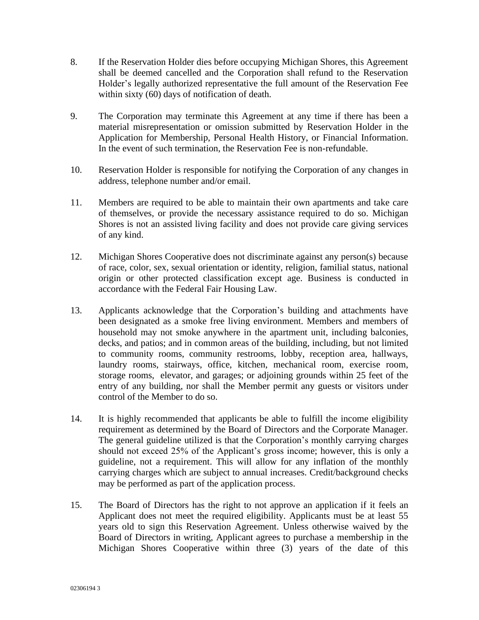- 8. If the Reservation Holder dies before occupying Michigan Shores, this Agreement shall be deemed cancelled and the Corporation shall refund to the Reservation Holder's legally authorized representative the full amount of the Reservation Fee within sixty (60) days of notification of death.
- 9. The Corporation may terminate this Agreement at any time if there has been a material misrepresentation or omission submitted by Reservation Holder in the Application for Membership, Personal Health History, or Financial Information. In the event of such termination, the Reservation Fee is non-refundable.
- 10. Reservation Holder is responsible for notifying the Corporation of any changes in address, telephone number and/or email.
- 11. Members are required to be able to maintain their own apartments and take care of themselves, or provide the necessary assistance required to do so. Michigan Shores is not an assisted living facility and does not provide care giving services of any kind.
- 12. Michigan Shores Cooperative does not discriminate against any person(s) because of race, color, sex, sexual orientation or identity, religion, familial status, national origin or other protected classification except age. Business is conducted in accordance with the Federal Fair Housing Law.
- 13. Applicants acknowledge that the Corporation's building and attachments have been designated as a smoke free living environment. Members and members of household may not smoke anywhere in the apartment unit, including balconies, decks, and patios; and in common areas of the building, including, but not limited to community rooms, community restrooms, lobby, reception area, hallways, laundry rooms, stairways, office, kitchen, mechanical room, exercise room, storage rooms, elevator, and garages; or adjoining grounds within 25 feet of the entry of any building, nor shall the Member permit any guests or visitors under control of the Member to do so.
- 14. It is highly recommended that applicants be able to fulfill the income eligibility requirement as determined by the Board of Directors and the Corporate Manager. The general guideline utilized is that the Corporation's monthly carrying charges should not exceed 25% of the Applicant's gross income; however, this is only a guideline, not a requirement. This will allow for any inflation of the monthly carrying charges which are subject to annual increases. Credit/background checks may be performed as part of the application process.
- 15. The Board of Directors has the right to not approve an application if it feels an Applicant does not meet the required eligibility. Applicants must be at least 55 years old to sign this Reservation Agreement. Unless otherwise waived by the Board of Directors in writing, Applicant agrees to purchase a membership in the Michigan Shores Cooperative within three (3) years of the date of this